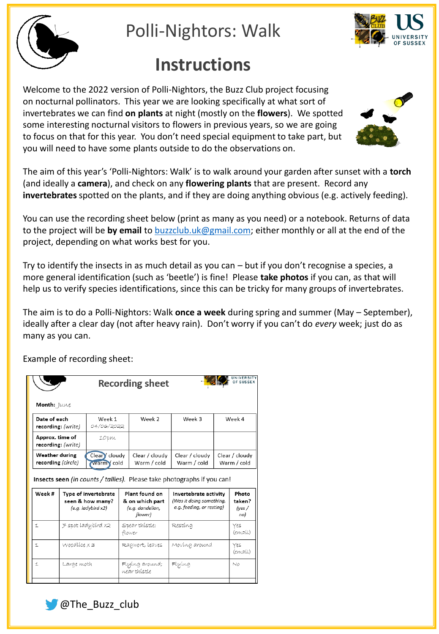

Polli-Nightors: Walk

## **Instructions**

Welcome to the 2022 version of Polli-Nightors, the Buzz Club project focusing on nocturnal pollinators. This year we are looking specifically at what sort of invertebrates we can find **on plants** at night (mostly on the **flowers**). We spotted some interesting nocturnal visitors to flowers in previous years, so we are going to focus on that for this year. You don't need special equipment to take part, but you will need to have some plants outside to do the observations on.



The aim of this year's 'Polli-Nightors: Walk' is to walk around your garden after sunset with a **torch** (and ideally a **camera**), and check on any **flowering plants** that are present. Record any **invertebrates**spotted on the plants, and if they are doing anything obvious (e.g. actively feeding).

You can use the recording sheet below (print as many as you need) or a notebook. Returns of data to the project will be **by email** to [buzzclub.uk@gmail.com;](mailto:buzzclub.uk@gmail.com) either monthly or all at the end of the project, depending on what works best for you.

Try to identify the insects in as much detail as you can – but if you don't recognise a species, a more general identification (such as 'beetle') is fine! Please **take photos** if you can, as that will help us to verify species identifications, since this can be tricky for many groups of invertebrates.

The aim is to do a Polli-Nightors: Walk **once a week** during spring and summer (May – September), ideally after a clear day (not after heavy rain). Don't worry if you can't do *every* week; just do as many as you can.

| UNIVERSITY<br><b>OF SUSSEX</b><br><b>Recording sheet</b>                       |                                                                    |                           |                                                                  |                                          |                                                                                |                               |                                  |  |  |  |  |
|--------------------------------------------------------------------------------|--------------------------------------------------------------------|---------------------------|------------------------------------------------------------------|------------------------------------------|--------------------------------------------------------------------------------|-------------------------------|----------------------------------|--|--|--|--|
| Month: June                                                                    |                                                                    |                           |                                                                  |                                          |                                                                                |                               |                                  |  |  |  |  |
| Date of each<br>recording: (write)                                             |                                                                    | Week 1<br>04/06/2022      |                                                                  | Week 2                                   | Week 3                                                                         | Week 4                        |                                  |  |  |  |  |
| Approx. time of<br>recording: (write)                                          |                                                                    | 10pm                      |                                                                  |                                          |                                                                                |                               |                                  |  |  |  |  |
| Weather during<br>recording (circle)                                           |                                                                    | Clear cloudy<br>warm cold |                                                                  | Clear / cloudy<br>Warm / cold            | Clear / cloudy<br>Warm / cold                                                  | Clear / cloudy<br>Warm / cold |                                  |  |  |  |  |
| <b>Insects seen</b> (in counts / tallies). Please take photographs if you can! |                                                                    |                           |                                                                  |                                          |                                                                                |                               |                                  |  |  |  |  |
| Week#                                                                          | Type of invertebrate<br>seen & how many?<br>$(e.g.$ ladybird $x2)$ |                           | Plant found on<br>& on which part<br>(e.g. dandelion,<br>flower) |                                          | Invertebrate activity<br>(Was it doing something,<br>e.g. feeding, or resting) |                               | Photo<br>taken?<br>(yes /<br>no) |  |  |  |  |
| H.                                                                             | 7 spot ladybírd x2                                                 |                           | Spear thístle;<br>flower                                         |                                          | Restína                                                                        |                               | Yes<br>(email)                   |  |  |  |  |
| Ľ.                                                                             | $Woodlice \times s$                                                |                           |                                                                  | Ragwort, leaves                          | Moving around                                                                  |                               | Yes<br>(email)                   |  |  |  |  |
| Ľ.                                                                             | Large moth                                                         |                           |                                                                  | Flying<br>Flying around;<br>wear thistle |                                                                                |                               | N0                               |  |  |  |  |
|                                                                                |                                                                    |                           |                                                                  |                                          |                                                                                |                               |                                  |  |  |  |  |

Example of recording sheet: